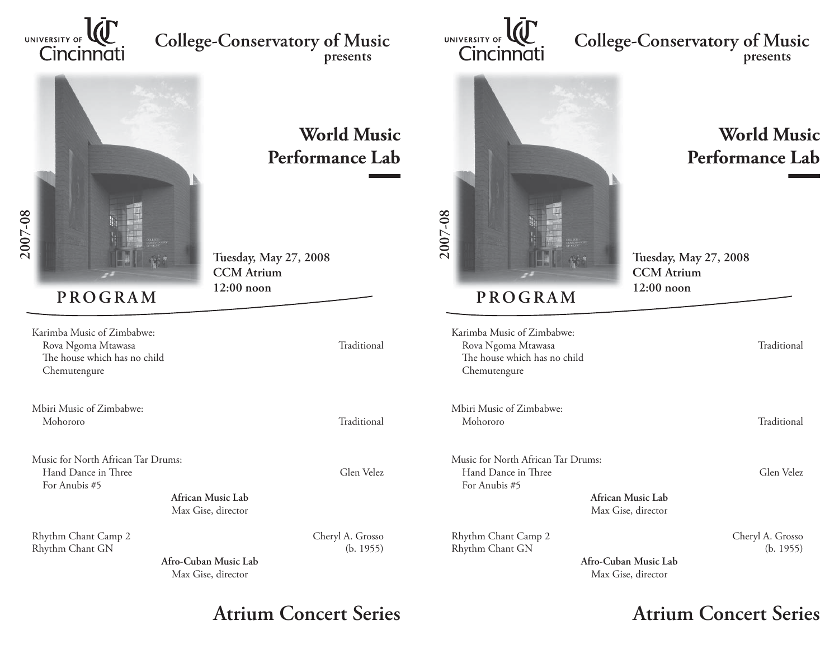

## **College-Conservatory of Music presents**



## **World Music Performance Lab**

**Tuesday, May 27, 2008 CCM Atrium12:00 noon**

**PROGRAM**

Karimba Music of Zimbabwe:Rova Ngoma Mtawasa **Traditional** The house which has no child Chemutengure

Mbiri Music of Zimbabwe:Mohororo Traditional

Music for North African Tar Drums:Hand Dance in Three Glen Velez For Anubis #5

> **African Music Lab**Max Gise, director

Rhythm Chant Camp 2 Cheryl A. Grosso Rhythm Chant GN (b. 1955)

> **Afro-Cuban Music Lab**Max Gise, director

## **Atrium Concert Series Atrium Concert Series**